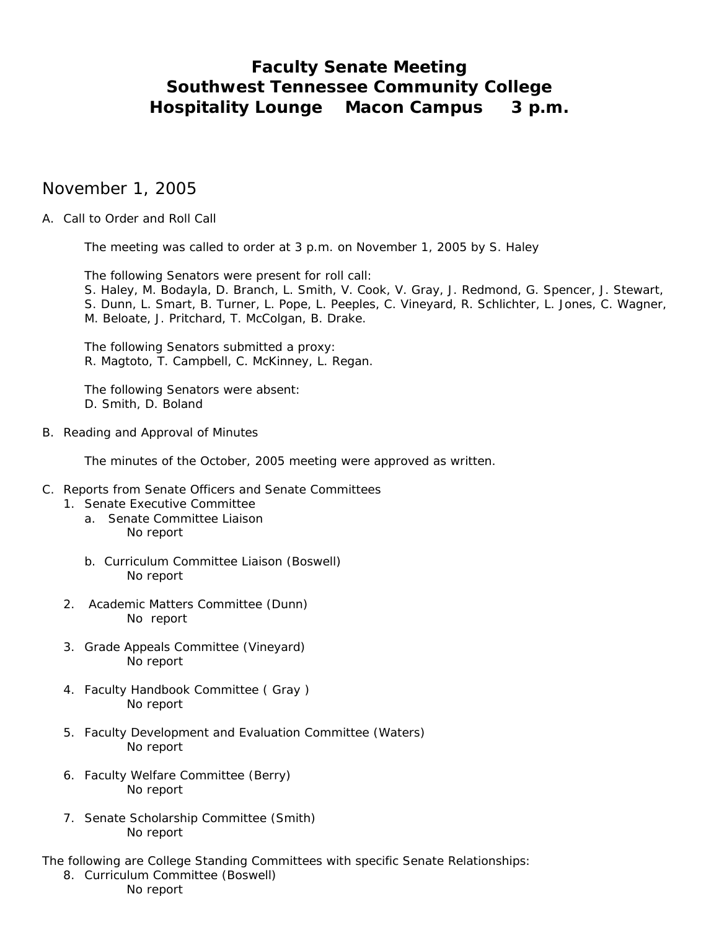# **Faculty Senate Meeting Southwest Tennessee Community College Hospitality Lounge Macon Campus 3 p.m.**

# November 1, 2005

# A. Call to Order and Roll Call

The meeting was called to order at 3 p.m. on November 1, 2005 by S. Haley

 The following Senators were present for roll call: S. Haley, M. Bodayla, D. Branch, L. Smith, V. Cook, V. Gray, J. Redmond, G. Spencer, J. Stewart,

S. Dunn, L. Smart, B. Turner, L. Pope, L. Peeples, C. Vineyard, R. Schlichter, L. Jones, C. Wagner, M. Beloate, J. Pritchard, T. McColgan, B. Drake.

The following Senators submitted a proxy: R. Magtoto, T. Campbell, C. McKinney, L. Regan.

The following Senators were absent: D. Smith, D. Boland

B. Reading and Approval of Minutes

The minutes of the October, 2005 meeting were approved as written.

#### C. Reports from Senate Officers and Senate Committees

- 1. Senate Executive Committee
	- a. Senate Committee Liaison No report
	- b. Curriculum Committee Liaison (Boswell) No report
- 2. Academic Matters Committee (Dunn) No report
- 3. Grade Appeals Committee (Vineyard) No report
- 4. Faculty Handbook Committee ( Gray ) No report
- 5. Faculty Development and Evaluation Committee (Waters) No report
- 6. Faculty Welfare Committee (Berry) No report
- 7. Senate Scholarship Committee (Smith) No report

The following are College Standing Committees with specific Senate Relationships:

8. Curriculum Committee (Boswell) No report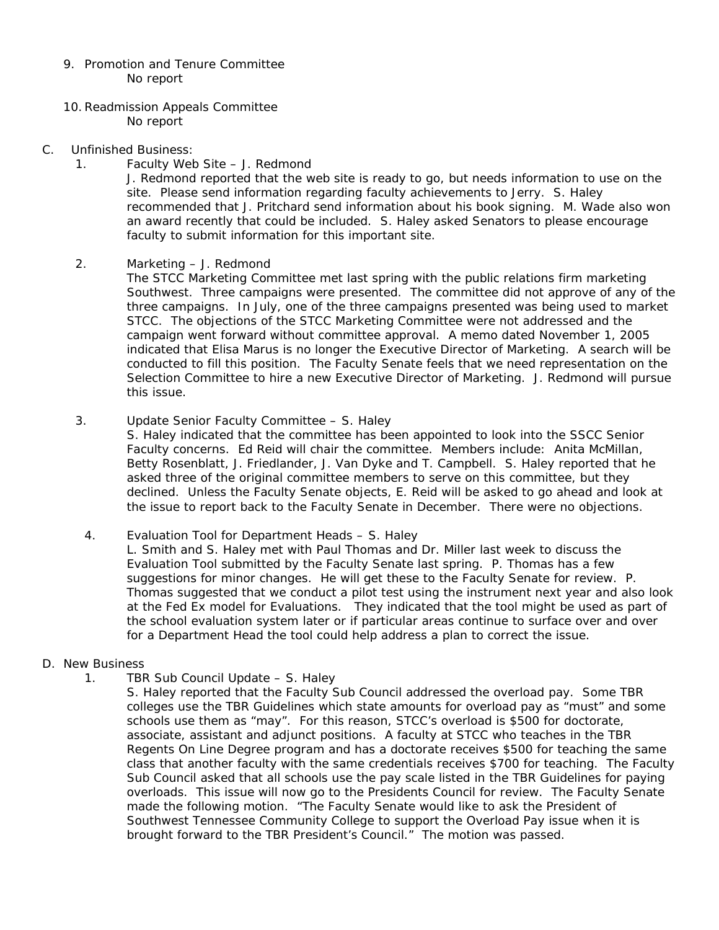- 9. Promotion and Tenure Committee No report
- 10.Readmission Appeals Committee No report
- C. Unfinished Business:
	- 1. Faculty Web Site J. Redmond

J. Redmond reported that the web site is ready to go, but needs information to use on the site. Please send information regarding faculty achievements to Jerry. S. Haley recommended that J. Pritchard send information about his book signing. M. Wade also won an award recently that could be included. S. Haley asked Senators to please encourage faculty to submit information for this important site.

2. Marketing – J. Redmond

The STCC Marketing Committee met last spring with the public relations firm marketing Southwest. Three campaigns were presented. The committee did not approve of any of the three campaigns. In July, one of the three campaigns presented was being used to market STCC. The objections of the STCC Marketing Committee were not addressed and the campaign went forward without committee approval. A memo dated November 1, 2005 indicated that Elisa Marus is no longer the Executive Director of Marketing. A search will be conducted to fill this position. The Faculty Senate feels that we need representation on the Selection Committee to hire a new Executive Director of Marketing. J. Redmond will pursue this issue.

3. Update Senior Faculty Committee – S. Haley

S. Haley indicated that the committee has been appointed to look into the SSCC Senior Faculty concerns. Ed Reid will chair the committee. Members include: Anita McMillan, Betty Rosenblatt, J. Friedlander, J. Van Dyke and T. Campbell. S. Haley reported that he asked three of the original committee members to serve on this committee, but they declined. Unless the Faculty Senate objects, E. Reid will be asked to go ahead and look at the issue to report back to the Faculty Senate in December. There were no objections.

4. Evaluation Tool for Department Heads – S. Haley

L. Smith and S. Haley met with Paul Thomas and Dr. Miller last week to discuss the Evaluation Tool submitted by the Faculty Senate last spring. P. Thomas has a few suggestions for minor changes. He will get these to the Faculty Senate for review. P. Thomas suggested that we conduct a pilot test using the instrument next year and also look at the Fed Ex model for Evaluations. They indicated that the tool might be used as part of the school evaluation system later or if particular areas continue to surface over and over for a Department Head the tool could help address a plan to correct the issue.

- D. New Business
	- 1. TBR Sub Council Update S. Haley

S. Haley reported that the Faculty Sub Council addressed the overload pay. Some TBR colleges use the TBR Guidelines which state amounts for overload pay as "must" and some schools use them as "may". For this reason, STCC's overload is \$500 for doctorate, associate, assistant and adjunct positions. A faculty at STCC who teaches in the TBR Regents On Line Degree program and has a doctorate receives \$500 for teaching the same class that another faculty with the same credentials receives \$700 for teaching. The Faculty Sub Council asked that all schools use the pay scale listed in the TBR Guidelines for paying overloads. This issue will now go to the Presidents Council for review. The Faculty Senate made the following motion. "The Faculty Senate would like to ask the President of Southwest Tennessee Community College to support the Overload Pay issue when it is brought forward to the TBR President's Council." The motion was passed.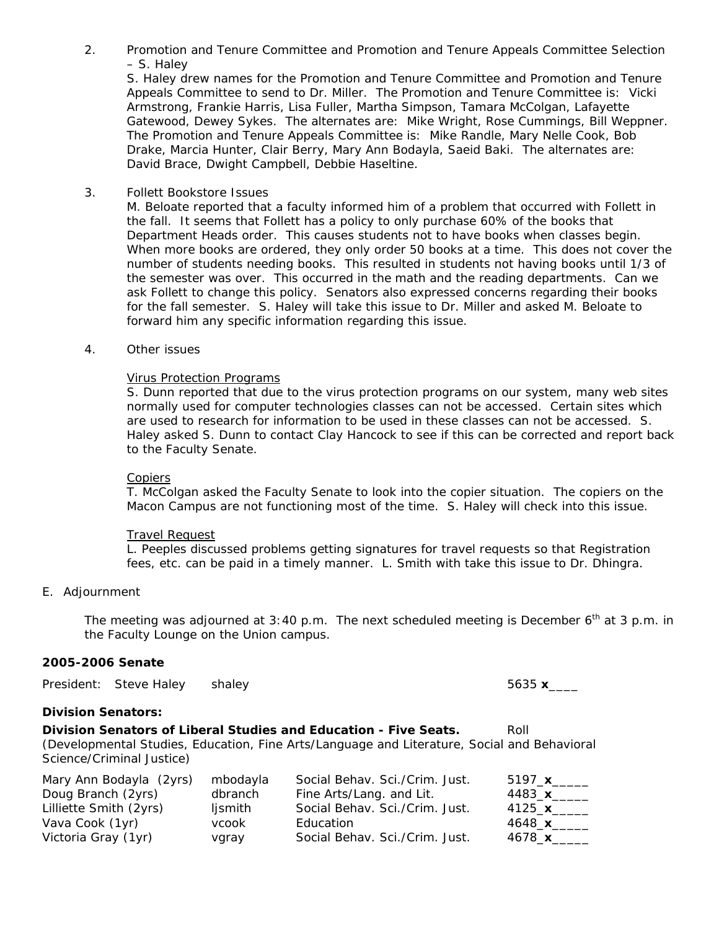2. Promotion and Tenure Committee and Promotion and Tenure Appeals Committee Selection – S. Haley

S. Haley drew names for the Promotion and Tenure Committee and Promotion and Tenure Appeals Committee to send to Dr. Miller. The Promotion and Tenure Committee is: Vicki Armstrong, Frankie Harris, Lisa Fuller, Martha Simpson, Tamara McColgan, Lafayette Gatewood, Dewey Sykes. The alternates are: Mike Wright, Rose Cummings, Bill Weppner. The Promotion and Tenure Appeals Committee is: Mike Randle, Mary Nelle Cook, Bob Drake, Marcia Hunter, Clair Berry, Mary Ann Bodayla, Saeid Baki. The alternates are: David Brace, Dwight Campbell, Debbie Haseltine.

3. Follett Bookstore Issues

M. Beloate reported that a faculty informed him of a problem that occurred with Follett in the fall. It seems that Follett has a policy to only purchase 60% of the books that Department Heads order. This causes students not to have books when classes begin. When more books are ordered, they only order 50 books at a time. This does not cover the number of students needing books. This resulted in students not having books until 1/3 of the semester was over. This occurred in the math and the reading departments. Can we ask Follett to change this policy. Senators also expressed concerns regarding their books for the fall semester. S. Haley will take this issue to Dr. Miller and asked M. Beloate to forward him any specific information regarding this issue.

4. Other issues

#### Virus Protection Programs

S. Dunn reported that due to the virus protection programs on our system, many web sites normally used for computer technologies classes can not be accessed. Certain sites which are used to research for information to be used in these classes can not be accessed. S. Haley asked S. Dunn to contact Clay Hancock to see if this can be corrected and report back to the Faculty Senate.

#### **Copiers**

T. McColgan asked the Faculty Senate to look into the copier situation. The copiers on the Macon Campus are not functioning most of the time. S. Haley will check into this issue.

#### Travel Request

L. Peeples discussed problems getting signatures for travel requests so that Registration fees, etc. can be paid in a timely manner. L. Smith with take this issue to Dr. Dhingra.

# E. Adjournment

The meeting was adjourned at 3:40 p.m. The next scheduled meeting is December  $6<sup>th</sup>$  at 3 p.m. in the Faculty Lounge on the Union campus.

#### **2005-2006 Senate**

|                           | President: Steve Haley    | shaley   |                                                                                             | 5635 $x$        |
|---------------------------|---------------------------|----------|---------------------------------------------------------------------------------------------|-----------------|
| <b>Division Senators:</b> |                           |          |                                                                                             |                 |
|                           |                           |          | Division Senators of Liberal Studies and Education - Five Seats.                            | Roll            |
|                           | Science/Criminal Justice) |          | (Developmental Studies, Education, Fine Arts/Language and Literature, Social and Behavioral |                 |
|                           | Mary Ann Bodayla (2yrs)   | mbodayla | Social Behav. Sci./Crim. Just.                                                              | 5197 $x$        |
| Doug Branch (2yrs)        |                           | dbranch  | Fine Arts/Lang. and Lit.                                                                    | 4483 $x$        |
| Lilliette Smith (2yrs)    |                           | ljsmith  | Social Behav. Sci./Crim. Just.                                                              | 4125 $\times$   |
| Vava Cook (1yr)           |                           | vcook    | Education                                                                                   | $4648$ <b>x</b> |
| Victoria Gray (1yr)       |                           | vgray    | Social Behav. Sci./Crim. Just.                                                              | 4678 x          |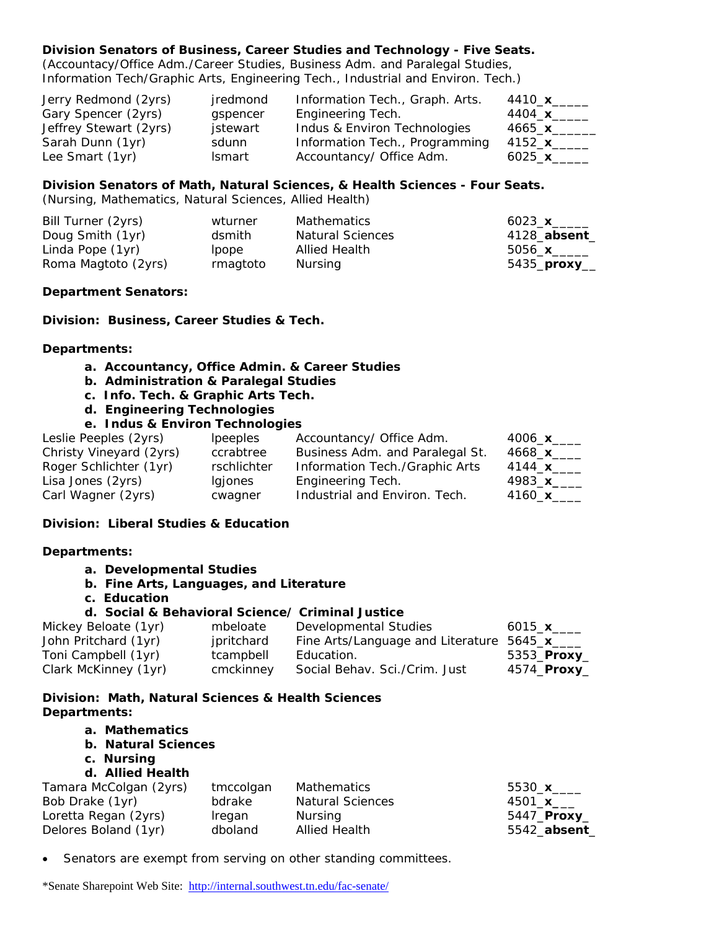# **Division Senators of Business, Career Studies and Technology - Five Seats.**

(Accountacy/Office Adm./Career Studies, Business Adm. and Paralegal Studies, Information Tech/Graphic Arts, Engineering Tech., Industrial and Environ. Tech.)

| Jerry Redmond (2yrs)   | jredmond      | Information Tech., Graph. Arts. | 4410_ <b>x</b> _____  |
|------------------------|---------------|---------------------------------|-----------------------|
| Gary Spencer (2yrs)    | gspencer      | Engineering Tech.               | 4404_ <b>x</b> ______ |
| Jeffrey Stewart (2yrs) | jstewart      | Indus & Environ Technologies    | 4665 x                |
| Sarah Dunn (1yr)       | sdunn         | Information Tech., Programming  | 4152_ <b>x</b> ______ |
| Lee Smart (1yr)        | <b>Ismart</b> | Accountancy/ Office Adm.        | 6025 x                |

#### **Division Senators of Math, Natural Sciences, & Health Sciences - Four Seats.**

(Nursing, Mathematics, Natural Sciences, Allied Health)

| Bill Turner (2yrs)  | wturner  | Mathematics             | 6023_ <b>x</b> ______  |
|---------------------|----------|-------------------------|------------------------|
| Doug Smith (1yr)    | dsmith   | <b>Natural Sciences</b> | 4128_absent_           |
| Linda Pope (1yr)    | lpope    | Allied Health           | 5056_ <b>x</b> ______  |
| Roma Magtoto (2yrs) | rmagtoto | Nursing                 | 5435_ <b>proxy</b> ___ |

#### **Department Senators:**

**Division: Business, Career Studies & Tech.** 

#### **Departments:**

- **a. Accountancy, Office Admin. & Career Studies**
- **b. Administration & Paralegal Studies**
- **c. Info. Tech. & Graphic Arts Tech.**
- **d. Engineering Technologies**

# **e. Indus & Environ Technologies**

| Leslie Peeples (2yrs)   | <i>lpeeples</i> | Accountancy/ Office Adm.        | 4006 $x$       |
|-------------------------|-----------------|---------------------------------|----------------|
| Christy Vineyard (2yrs) | ccrabtree       | Business Adm. and Paralegal St. | 4668_ <b>x</b> |
| Roger Schlichter (1yr)  | rschlichter     | Information Tech./Graphic Arts  | 4144_ <b>x</b> |
| Lisa Jones (2yrs)       | lgjones         | Engineering Tech.               | 4983 x         |
| Carl Wagner (2yrs)      | cwagner         | Industrial and Environ. Tech.   | 4160_ <b>x</b> |

# **Division: Liberal Studies & Education**

# **Departments:**

- **a. Developmental Studies**
- **b. Fine Arts, Languages, and Literature**
- **c. Education**

# **d. Social & Behavioral Science/ Criminal Justice**

| Mickey Beloate (1yr) | mbeloate   | Developmental Studies                        | 6015_ <b>x</b> ____  |
|----------------------|------------|----------------------------------------------|----------------------|
| John Pritchard (1yr) | jpritchard | Fine Arts/Language and Literature 5645_x____ |                      |
| Toni Campbell (1yr)  | tcampbell  | Education.                                   | 5353_ <b>Proxy</b> _ |
| Clark McKinney (1yr) | cmckinney  | Social Behav. Sci./Crim. Just                | 4574_ <b>Proxy</b> _ |

# **Division: Math, Natural Sciences & Health Sciences Departments:**

#### **a. Mathematics**

- **b. Natural Sciences**
- **c. Nursing**
- **d. Allied Health**

| Tamara McColgan (2yrs) | tmccolgan | Mathematics             | 5530 $x$              |
|------------------------|-----------|-------------------------|-----------------------|
| Bob Drake (1yr)        | bdrake    | <b>Natural Sciences</b> | 4501_ <b>x</b> ___    |
| Loretta Regan (2yrs)   | Iregan    | Nursina                 | 5447_ <b>Proxy_</b>   |
| Delores Boland (1yr)   | dboland   | Allied Health           | 5542_ <b>absent</b> _ |

• Senators are exempt from serving on other standing committees.

\*Senate Sharepoint Web Site: <http://internal.southwest.tn.edu/fac-senate/>